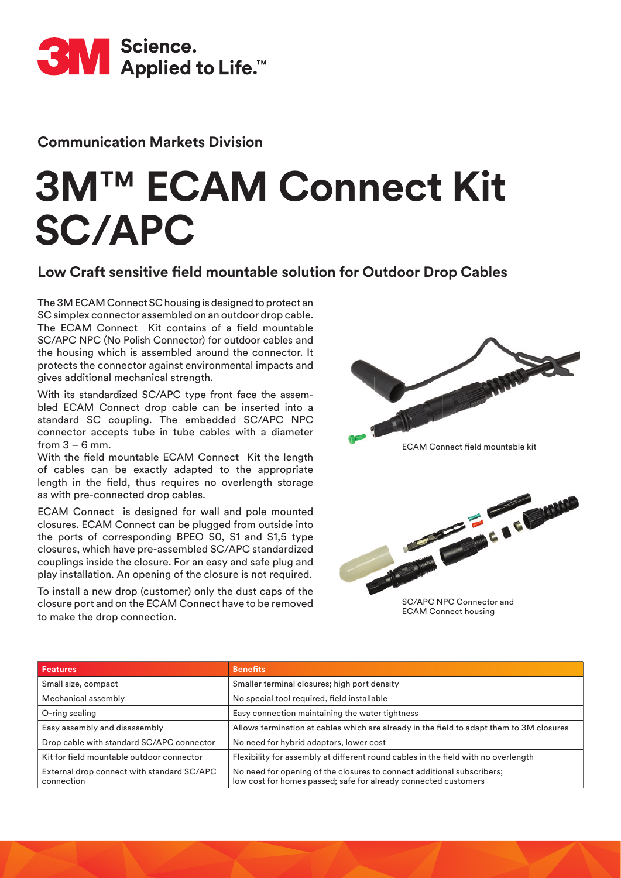

#### **Communication Markets Division**

# **3M**™ **ECAM Connect Kit SC/APC**

#### **Low Craft sensitive field mountable solution for Outdoor Drop Cables**

The 3M ECAM Connect SC housing is designed to protect an SC simplex connector assembled on an outdoor drop cable. The ECAM Connect Kit contains of a field mountable SC/APC NPC (No Polish Connector) for outdoor cables and the housing which is assembled around the connector. It protects the connector against environmental impacts and gives additional mechanical strength.

With its standardized SC/APC type front face the assembled ECAM Connect drop cable can be inserted into a standard SC coupling. The embedded SC/APC NPC connector accepts tube in tube cables with a diameter from  $3 - 6$  mm.

With the field mountable ECAM Connect Kit the length of cables can be exactly adapted to the appropriate length in the field, thus requires no overlength storage as with pre-connected drop cables.

ECAM Connect is designed for wall and pole mounted closures. ECAM Connect can be plugged from outside into the ports of corresponding BPEO S0, S1 and S1,5 type closures, which have pre-assembled SC/APC standardized couplings inside the closure. For an easy and safe plug and play installation. An opening of the closure is not required.

To install a new drop (customer) only the dust caps of the closure port and on the ECAM Connect have to be removed to make the drop connection.



**ECAM Connect field mountable kit** 



ECAM Connect housing

| <b>Features</b>                                          | <b>Benefits</b>                                                                                                                           |
|----------------------------------------------------------|-------------------------------------------------------------------------------------------------------------------------------------------|
| Small size, compact                                      | Smaller terminal closures; high port density                                                                                              |
| Mechanical assembly                                      | No special tool required, field installable                                                                                               |
| O-ring sealing                                           | Easy connection maintaining the water tightness                                                                                           |
| Easy assembly and disassembly                            | Allows termination at cables which are already in the field to adapt them to 3M closures                                                  |
| Drop cable with standard SC/APC connector                | No need for hybrid adaptors, lower cost                                                                                                   |
| Kit for field mountable outdoor connector                | Flexibility for assembly at different round cables in the field with no overlength                                                        |
| External drop connect with standard SC/APC<br>connection | No need for opening of the closures to connect additional subscribers;<br>low cost for homes passed; safe for already connected customers |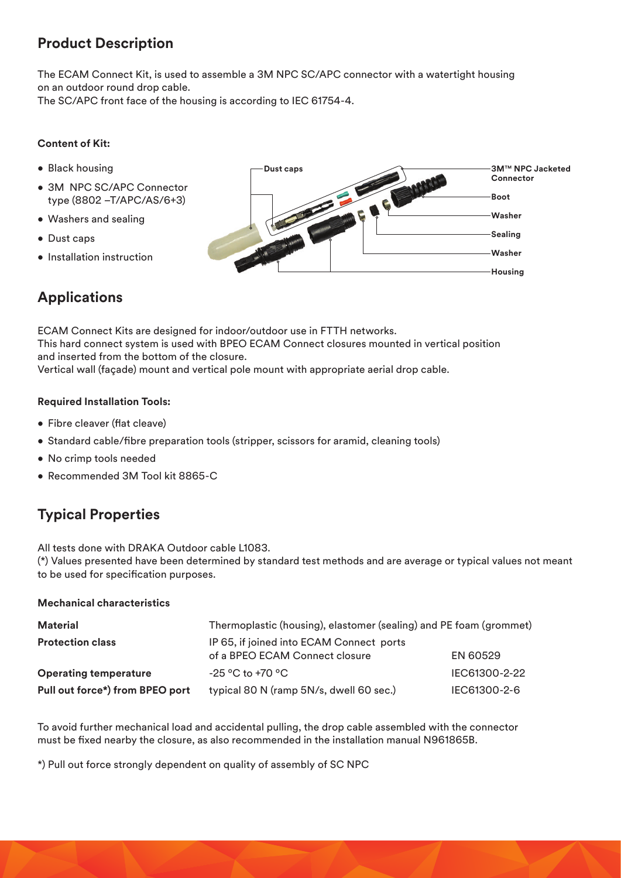## **Product Description**

The ECAM Connect Kit, is used to assemble a 3M NPC SC/APC connector with a watertight housing on an outdoor round drop cable. The SC/APC front face of the housing is according to IEC 61754-4.

**Content of Kit:** 

- Black housing
- 3M NPC SC/APC Connector type (8802 –T/APC/AS/6+3)
- Washers and sealing
- Dust caps
- Installation instruction

# **Applications**

**3M**™ **NPC Jacketed Connector Boot Washer Sealing Washer Housing Dust caps**

ECAM Connect Kits are designed for indoor/outdoor use in FTTH networks. This hard connect system is used with BPEO ECAM Connect closures mounted in vertical position and inserted from the bottom of the closure. Vertical wall (façade) mount and vertical pole mount with appropriate aerial drop cable.

#### **Required Installation Tools:**

- Fibre cleaver (flat cleave)
- Standard cable/fibre preparation tools (stripper, scissors for aramid, cleaning tools)
- No crimp tools needed
- Recommended 3M Tool kit 8865-C

# **Typical Properties**

All tests done with DRAKA Outdoor cable L1083.

(\*) Values presented have been determined by standard test methods and are average or typical values not meant to be used for specification purposes.

#### **Mechanical characteristics**

| <b>Material</b>                 | Thermoplastic (housing), elastomer (sealing) and PE foam (grommet)         |               |
|---------------------------------|----------------------------------------------------------------------------|---------------|
| <b>Protection class</b>         | IP 65, if joined into ECAM Connect ports<br>of a BPEO ECAM Connect closure | EN 60529      |
| <b>Operating temperature</b>    | $-25 \degree C$ to +70 $\degree C$                                         | IEC61300-2-22 |
| Pull out force*) from BPEO port | typical 80 N (ramp 5N/s, dwell 60 sec.)                                    | IEC61300-2-6  |

To avoid further mechanical load and accidental pulling, the drop cable assembled with the connector must be fixed nearby the closure, as also recommended in the installation manual N961865B.

\*) Pull out force strongly dependent on quality of assembly of SC NPC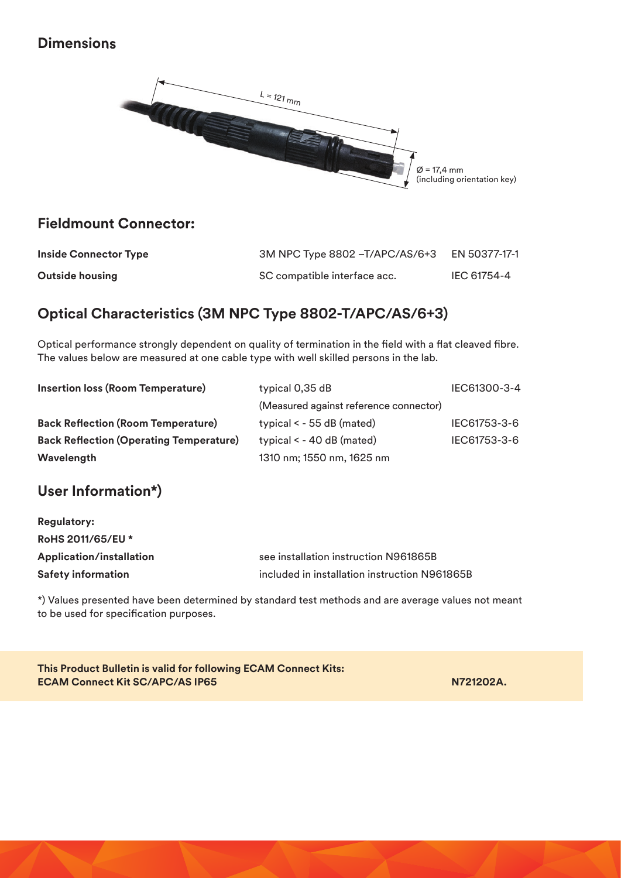#### **Dimensions**



## **Fieldmount Connector:**

| <b>Inside Connector Type</b> | 3M NPC Type 8802 - T/APC/AS/6+3 | EN 50377-17-1 |
|------------------------------|---------------------------------|---------------|
| <b>Outside housing</b>       | SC compatible interface acc.    | IEC 61754-4   |

# **Optical Characteristics (3M NPC Type 8802-T/APC/AS/6+3)**

Optical performance strongly dependent on quality of termination in the field with a flat cleaved fibre. The values below are measured at one cable type with well skilled persons in the lab.

| Insertion loss (Room Temperature)              | typical 0,35 dB                        | IEC61300-3-4 |
|------------------------------------------------|----------------------------------------|--------------|
|                                                | (Measured against reference connector) |              |
| <b>Back Reflection (Room Temperature)</b>      | typical $\le$ - 55 dB (mated)          | IEC61753-3-6 |
| <b>Back Reflection (Operating Temperature)</b> | typical $\leq$ - 40 dB (mated)         | IEC61753-3-6 |
| Wavelength                                     | 1310 nm; 1550 nm, 1625 nm              |              |

# **User Information\*)**

| <b>Regulatory:</b>        |                                               |
|---------------------------|-----------------------------------------------|
| RoHS 2011/65/EU *         |                                               |
| Application/installation  | see installation instruction N961865B         |
| <b>Safety information</b> | included in installation instruction N961865B |

\*) Values presented have been determined by standard test methods and are average values not meant to be used for specification purposes.

**This Product Bulletin is valid for following ECAM Connect Kits: ECAM Connect Kit SC/APC/AS IP65 N721202A.** N721202A.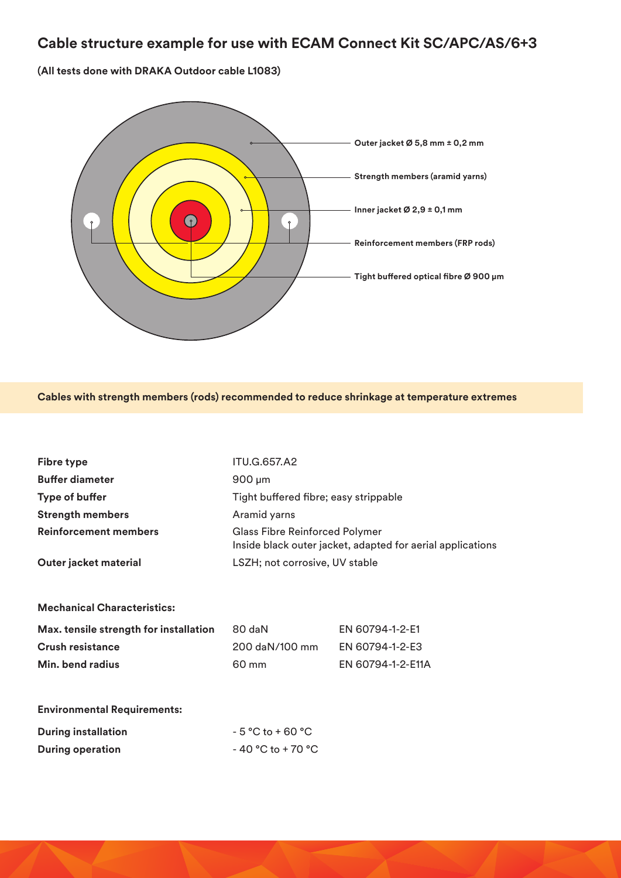## **Cable structure example for use with ECAM Connect Kit SC/APC/AS/6+3**

**(All tests done with DRAKA Outdoor cable L1083)** 



**Cables with strength members (rods) recommended to reduce shrinkage at temperature extremes**

| <b>Fibre type</b>                      | <b>ITU.G.657.A2</b>                                                                                 |                   |  |
|----------------------------------------|-----------------------------------------------------------------------------------------------------|-------------------|--|
| <b>Buffer diameter</b>                 | $900 \mu m$                                                                                         |                   |  |
| <b>Type of buffer</b>                  | Tight buffered fibre; easy strippable                                                               |                   |  |
| <b>Strength members</b>                | Aramid yarns                                                                                        |                   |  |
| <b>Reinforcement members</b>           | <b>Glass Fibre Reinforced Polymer</b><br>Inside black outer jacket, adapted for aerial applications |                   |  |
| Outer jacket material                  | LSZH; not corrosive, UV stable                                                                      |                   |  |
|                                        |                                                                                                     |                   |  |
| <b>Mechanical Characteristics:</b>     |                                                                                                     |                   |  |
| Max. tensile strength for installation | 80 daN                                                                                              | EN 60794-1-2-E1   |  |
| Crush resistance                       | 200 daN/100 mm                                                                                      | EN 60794-1-2-E3   |  |
| Min. bend radius                       | 60 mm                                                                                               | EN 60794-1-2-E11A |  |
|                                        |                                                                                                     |                   |  |
| <b>Environmental Requirements:</b>     |                                                                                                     |                   |  |
| <b>During installation</b>             | $-5 °C$ to $+60 °C$                                                                                 |                   |  |
| <b>During operation</b>                | $-40 °C$ to $+70 °C$                                                                                |                   |  |
|                                        |                                                                                                     |                   |  |